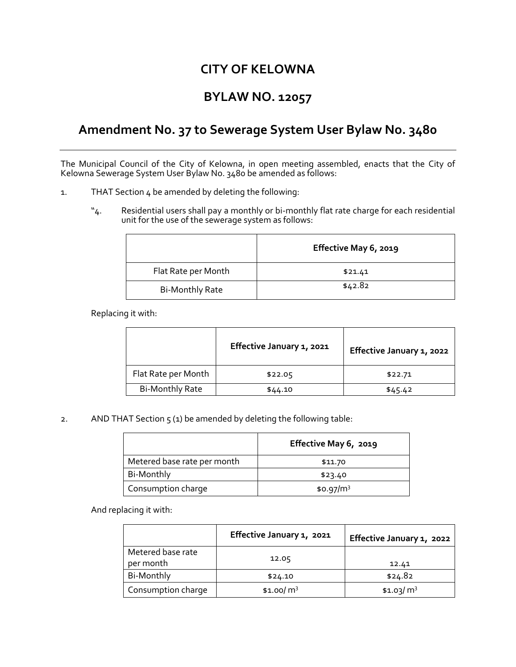# **CITY OF KELOWNA**

## **BYLAW NO. 12057**

### **Amendment No. 37 to Sewerage System User Bylaw No. 3480**

The Municipal Council of the City of Kelowna, in open meeting assembled, enacts that the City of Kelowna Sewerage System User Bylaw No. 3480 be amended as follows:

- 1. THAT Section 4 be amended by deleting the following:
	- "4. Residential users shall pay a monthly or bi-monthly flat rate charge for each residential unit for the use of the sewerage system as follows:

|                        | Effective May 6, 2019 |
|------------------------|-----------------------|
| Flat Rate per Month    | \$21.41               |
| <b>Bi-Monthly Rate</b> | \$42.82               |

Replacing it with:

|                        | Effective January 1, 2021 | Effective January 1, 2022 |
|------------------------|---------------------------|---------------------------|
| Flat Rate per Month    | \$22.05                   | \$22.71                   |
| <b>Bi-Monthly Rate</b> | \$44.10                   | \$45.42                   |

2. AND THAT Section  $5(1)$  be amended by deleting the following table:

|                             | Effective May 6, 2019 |
|-----------------------------|-----------------------|
| Metered base rate per month | \$11.70               |
| Bi-Monthly                  | \$23.40               |
| Consumption charge          | \$0.97/m <sup>3</sup> |

And replacing it with:

|                                | Effective January 1, 2021 | Effective January 1, 2022 |
|--------------------------------|---------------------------|---------------------------|
| Metered base rate<br>per month | 12.05                     | 12.41                     |
| Bi-Monthly                     | \$24.10                   | \$24.82                   |
| Consumption charge             | \$1.00/ $m3$              | \$1.03/m <sup>3</sup>     |